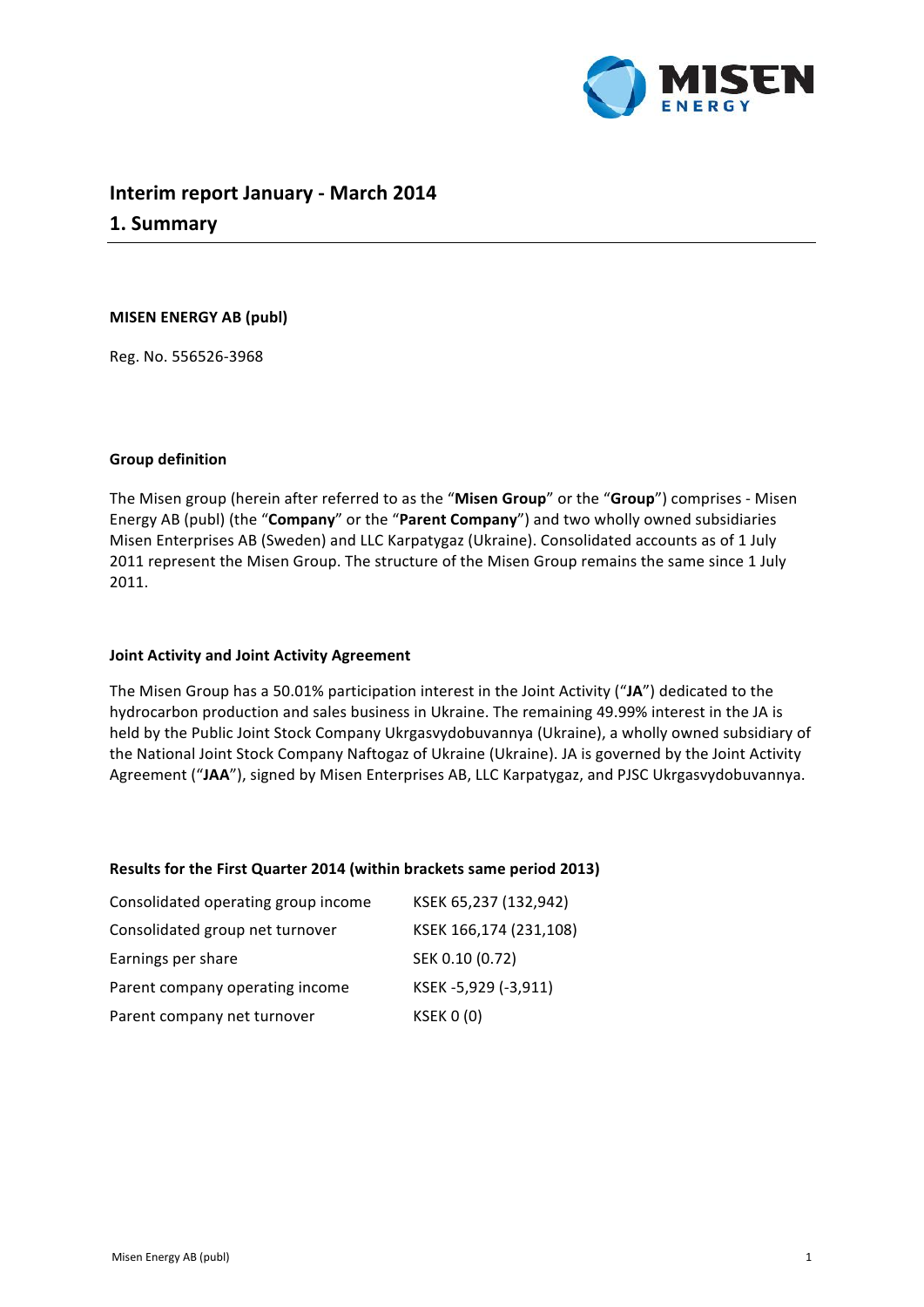

# **Interim report January - March 2014 1. Summary**

### **MISEN ENERGY AB (publ)**

Reg. No. 556526-3968

# **Group definition**

The Misen group (herein after referred to as the "Misen Group" or the "Group") comprises - Misen Energy AB (publ) (the "**Company**" or the "Parent Company") and two wholly owned subsidiaries Misen Enterprises AB (Sweden) and LLC Karpatygaz (Ukraine). Consolidated accounts as of 1 July 2011 represent the Misen Group. The structure of the Misen Group remains the same since 1 July 2011.

### **Joint Activity and Joint Activity Agreement**

The Misen Group has a 50.01% participation interest in the Joint Activity ("JA") dedicated to the hydrocarbon production and sales business in Ukraine. The remaining 49.99% interest in the JA is held by the Public Joint Stock Company Ukrgasvydobuvannya (Ukraine), a wholly owned subsidiary of the National Joint Stock Company Naftogaz of Ukraine (Ukraine). JA is governed by the Joint Activity Agreement ("JAA"), signed by Misen Enterprises AB, LLC Karpatygaz, and PJSC Ukrgasvydobuvannya.

### **Results for the First Quarter 2014 (within brackets same period 2013)**

| Consolidated operating group income | KSEK 65,237 (132,942)  |
|-------------------------------------|------------------------|
| Consolidated group net turnover     | KSEK 166,174 (231,108) |
| Earnings per share                  | SEK 0.10 (0.72)        |
| Parent company operating income     | KSEK-5,929 (-3,911)    |
| Parent company net turnover         | <b>KSEK 0 (0)</b>      |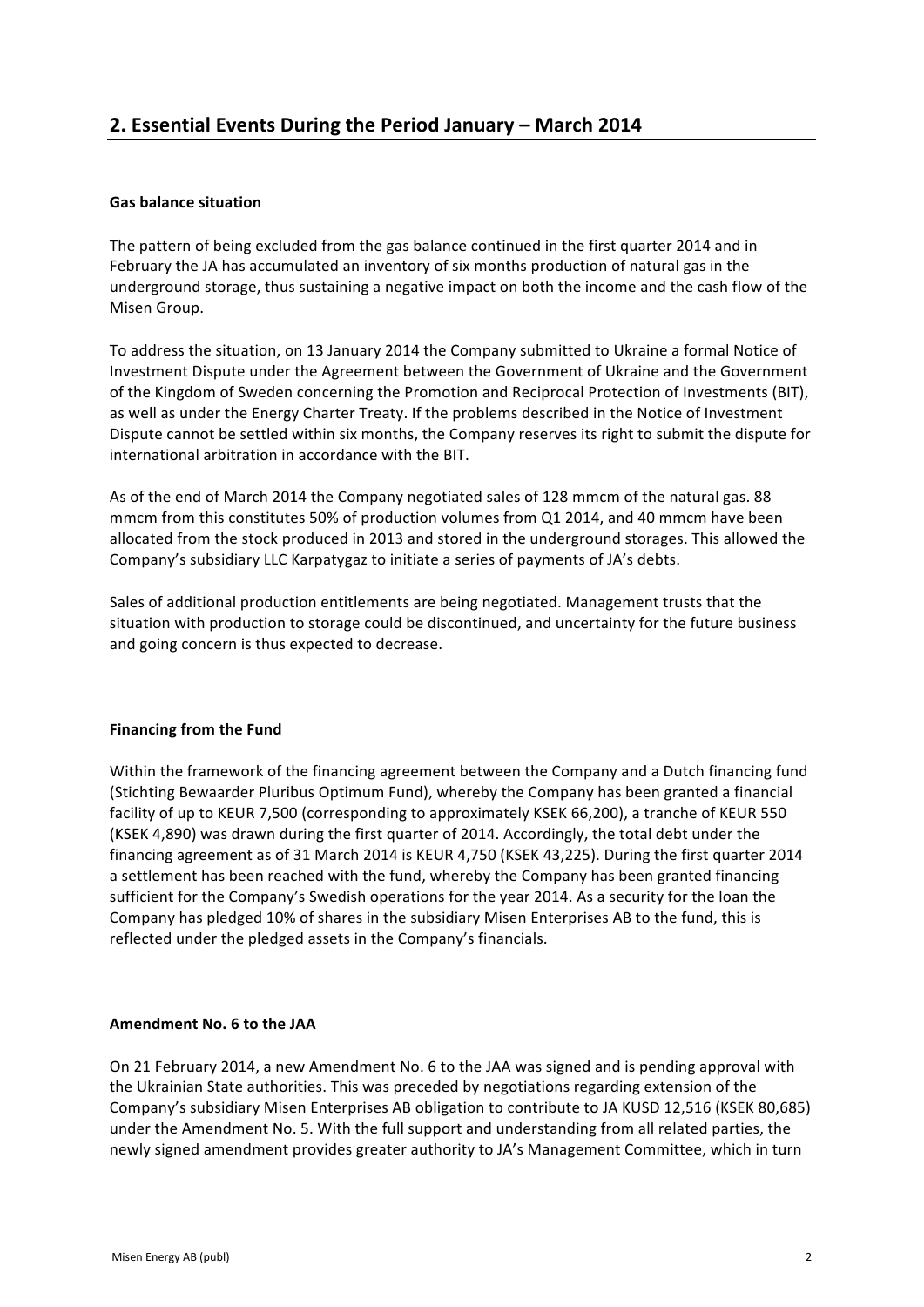# **Gas balance situation**

The pattern of being excluded from the gas balance continued in the first quarter 2014 and in February the JA has accumulated an inventory of six months production of natural gas in the underground storage, thus sustaining a negative impact on both the income and the cash flow of the Misen Group.

To address the situation, on 13 January 2014 the Company submitted to Ukraine a formal Notice of Investment Dispute under the Agreement between the Government of Ukraine and the Government of the Kingdom of Sweden concerning the Promotion and Reciprocal Protection of Investments (BIT), as well as under the Energy Charter Treaty. If the problems described in the Notice of Investment Dispute cannot be settled within six months, the Company reserves its right to submit the dispute for international arbitration in accordance with the BIT.

As of the end of March 2014 the Company negotiated sales of 128 mmcm of the natural gas. 88 mmcm from this constitutes 50% of production volumes from Q1 2014, and 40 mmcm have been allocated from the stock produced in 2013 and stored in the underground storages. This allowed the Company's subsidiary LLC Karpatygaz to initiate a series of payments of JA's debts.

Sales of additional production entitlements are being negotiated. Management trusts that the situation with production to storage could be discontinued, and uncertainty for the future business and going concern is thus expected to decrease.

# **Financing from the Fund**

Within the framework of the financing agreement between the Company and a Dutch financing fund (Stichting Bewaarder Pluribus Optimum Fund), whereby the Company has been granted a financial facility of up to KEUR 7,500 (corresponding to approximately KSEK 66,200), a tranche of KEUR 550 (KSEK 4,890) was drawn during the first quarter of 2014. Accordingly, the total debt under the financing agreement as of 31 March 2014 is KEUR 4,750 (KSEK 43,225). During the first quarter 2014 a settlement has been reached with the fund, whereby the Company has been granted financing sufficient for the Company's Swedish operations for the year 2014. As a security for the loan the Company has pledged 10% of shares in the subsidiary Misen Enterprises AB to the fund, this is reflected under the pledged assets in the Company's financials.

# Amendment No. 6 to the JAA

On 21 February 2014, a new Amendment No. 6 to the JAA was signed and is pending approval with the Ukrainian State authorities. This was preceded by negotiations regarding extension of the Company's subsidiary Misen Enterprises AB obligation to contribute to JA KUSD 12,516 (KSEK 80,685) under the Amendment No. 5. With the full support and understanding from all related parties, the newly signed amendment provides greater authority to JA's Management Committee, which in turn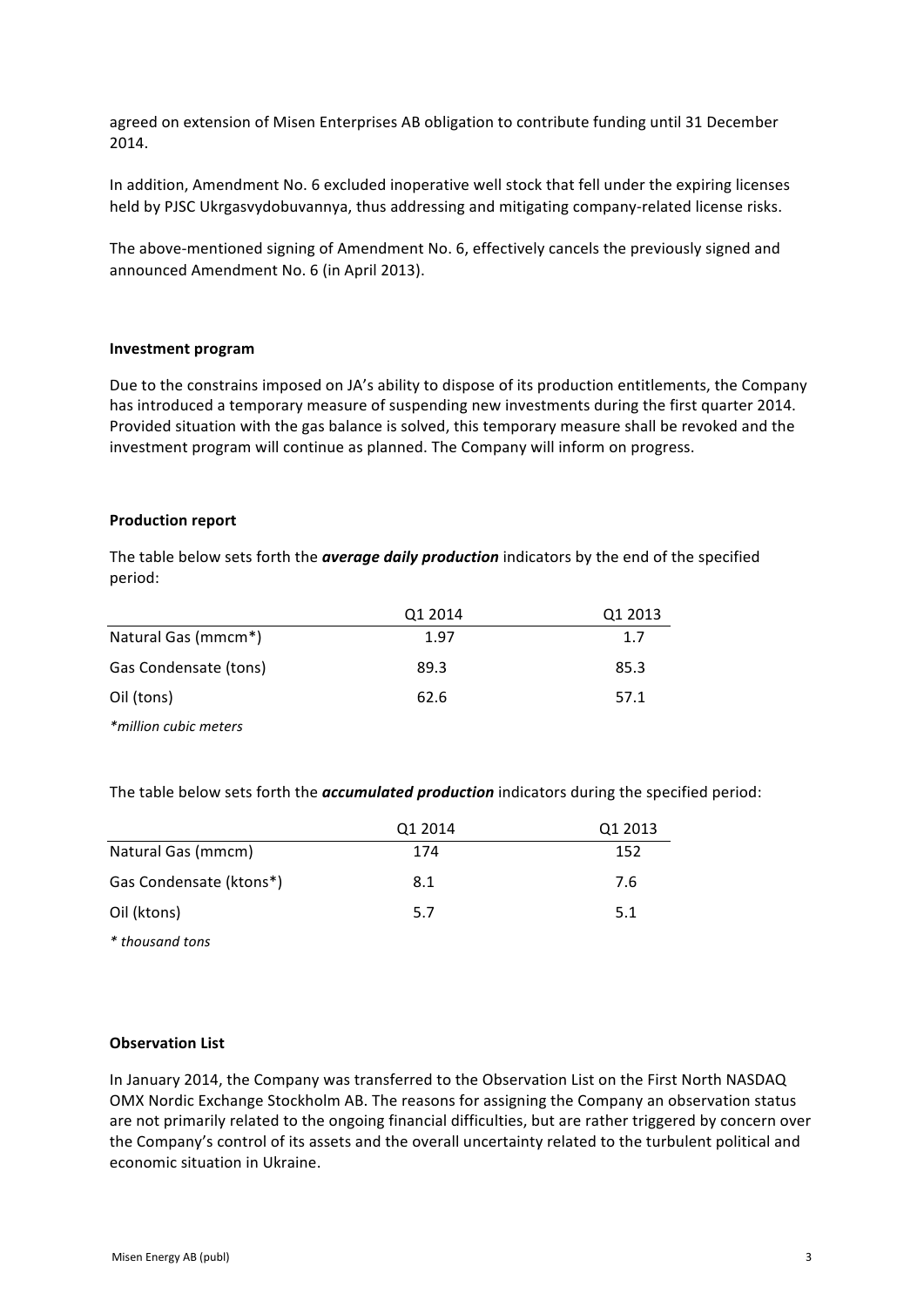agreed on extension of Misen Enterprises AB obligation to contribute funding until 31 December 2014. 

In addition, Amendment No. 6 excluded inoperative well stock that fell under the expiring licenses held by PJSC Ukrgasvydobuvannya, thus addressing and mitigating company-related license risks.

The above-mentioned signing of Amendment No. 6, effectively cancels the previously signed and announced Amendment No. 6 (in April 2013).

### **Investment program**

Due to the constrains imposed on JA's ability to dispose of its production entitlements, the Company has introduced a temporary measure of suspending new investments during the first quarter 2014. Provided situation with the gas balance is solved, this temporary measure shall be revoked and the investment program will continue as planned. The Company will inform on progress.

#### **Production report**

The table below sets forth the *average daily production* indicators by the end of the specified period:

|                       | Q1 2014 | Q1 2013 |
|-----------------------|---------|---------|
| Natural Gas (mmcm*)   | 1.97    | 1.7     |
| Gas Condensate (tons) | 89.3    | 85.3    |
| Oil (tons)            | 62.6    | 57.1    |
| *million cubic meters |         |         |

The table below sets forth the *accumulated production* indicators during the specified period:

|                         | Q1 2014 | Q1 2013 |
|-------------------------|---------|---------|
| Natural Gas (mmcm)      | 174     | 152     |
| Gas Condensate (ktons*) | 8.1     | 7.6     |
| Oil (ktons)             | 5.7     | 5.1     |

*\* thousand tons* 

# **Observation List**

In January 2014, the Company was transferred to the Observation List on the First North NASDAQ OMX Nordic Exchange Stockholm AB. The reasons for assigning the Company an observation status are not primarily related to the ongoing financial difficulties, but are rather triggered by concern over the Company's control of its assets and the overall uncertainty related to the turbulent political and economic situation in Ukraine.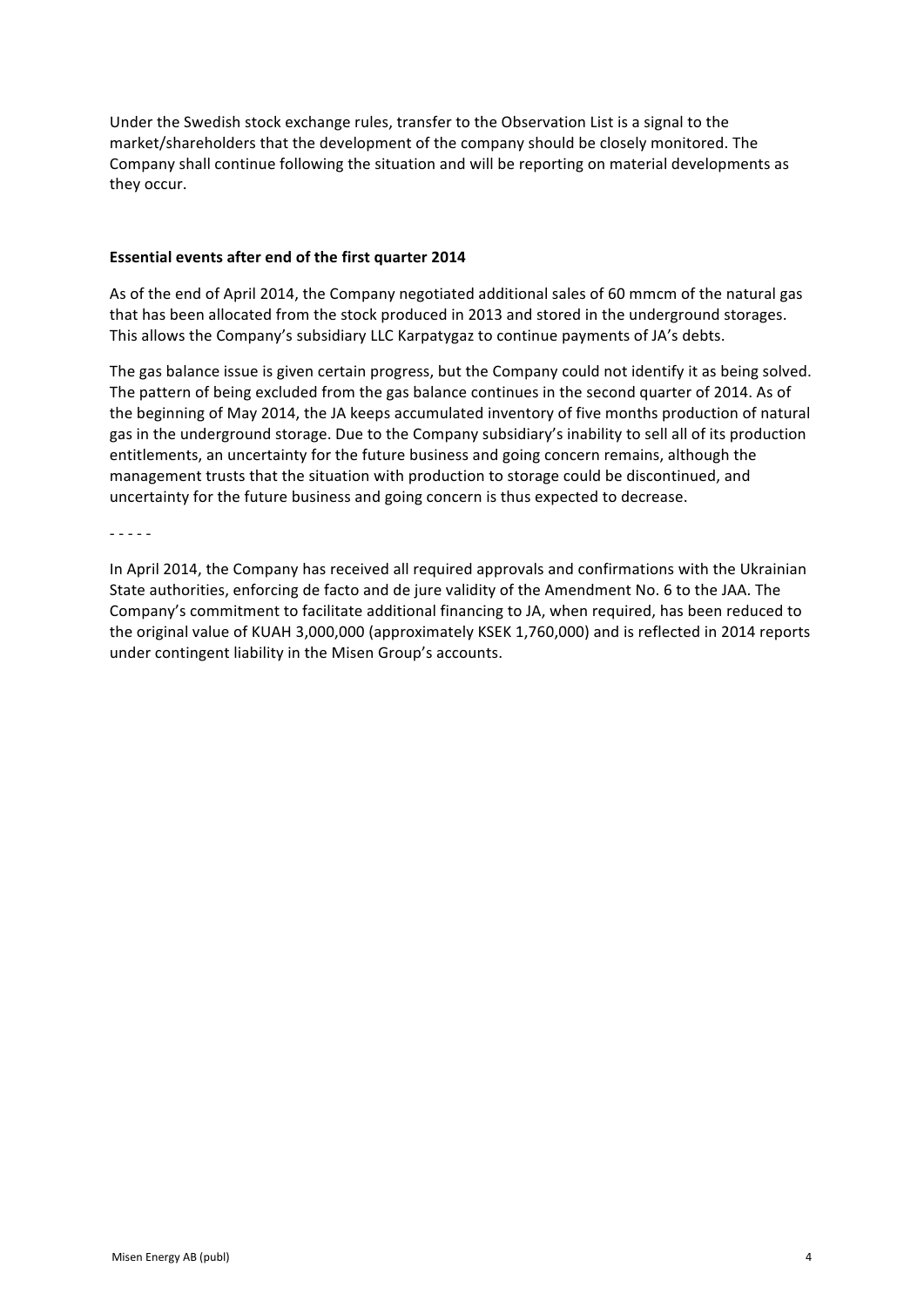Under the Swedish stock exchange rules, transfer to the Observation List is a signal to the market/shareholders that the development of the company should be closely monitored. The Company shall continue following the situation and will be reporting on material developments as they occur.

### **Essential events after end of the first quarter 2014**

As of the end of April 2014, the Company negotiated additional sales of 60 mmcm of the natural gas that has been allocated from the stock produced in 2013 and stored in the underground storages. This allows the Company's subsidiary LLC Karpatygaz to continue payments of JA's debts.

The gas balance issue is given certain progress, but the Company could not identify it as being solved. The pattern of being excluded from the gas balance continues in the second quarter of 2014. As of the beginning of May 2014, the JA keeps accumulated inventory of five months production of natural gas in the underground storage. Due to the Company subsidiary's inability to sell all of its production entitlements, an uncertainty for the future business and going concern remains, although the management trusts that the situation with production to storage could be discontinued, and uncertainty for the future business and going concern is thus expected to decrease.

- - - - -

In April 2014, the Company has received all required approvals and confirmations with the Ukrainian State authorities, enforcing de facto and de jure validity of the Amendment No. 6 to the JAA. The Company's commitment to facilitate additional financing to JA, when required, has been reduced to the original value of KUAH 3,000,000 (approximately KSEK 1,760,000) and is reflected in 2014 reports under contingent liability in the Misen Group's accounts.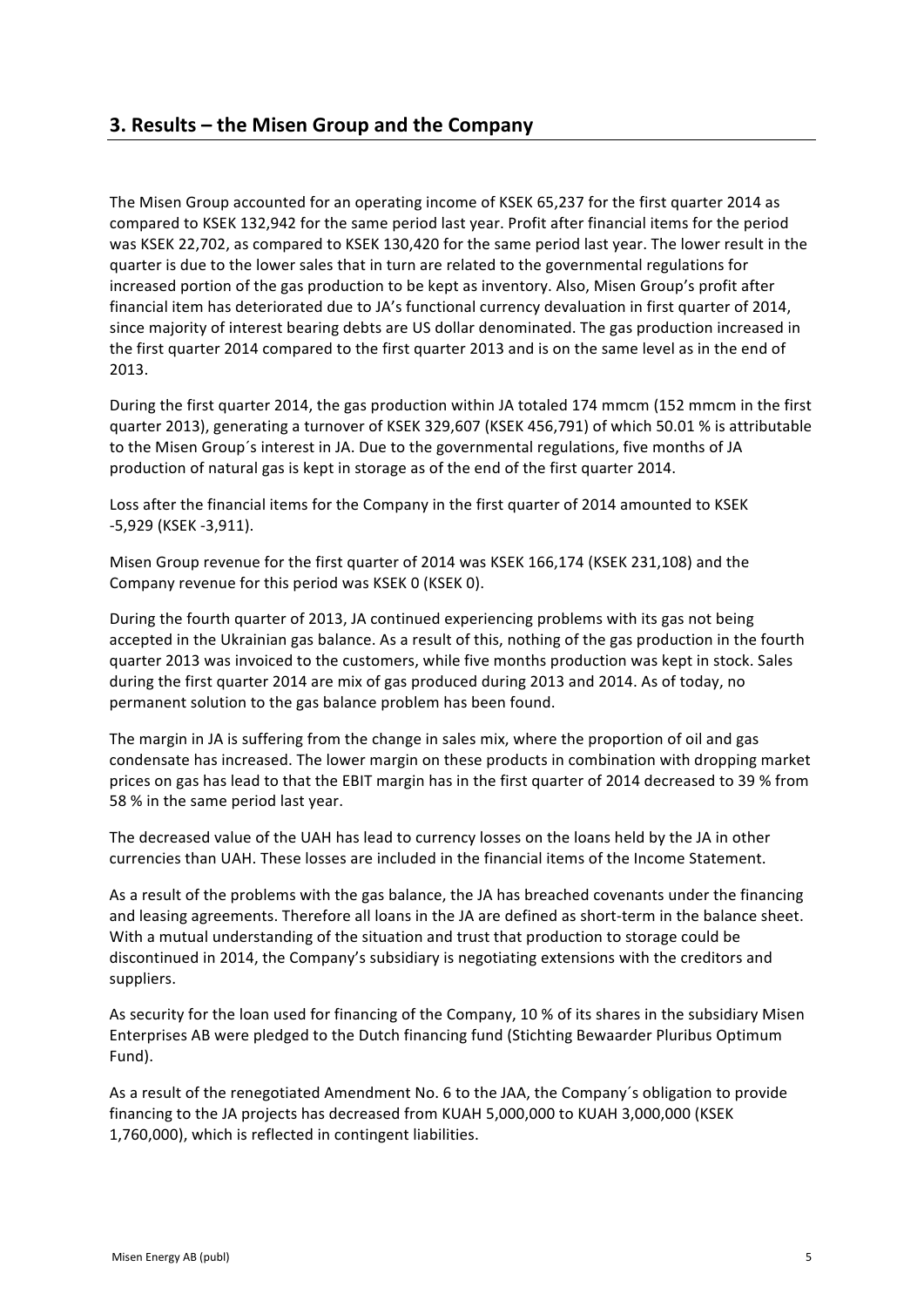The Misen Group accounted for an operating income of KSEK 65,237 for the first quarter 2014 as compared to KSEK 132,942 for the same period last year. Profit after financial items for the period was KSEK 22,702, as compared to KSEK 130,420 for the same period last year. The lower result in the guarter is due to the lower sales that in turn are related to the governmental regulations for increased portion of the gas production to be kept as inventory. Also, Misen Group's profit after financial item has deteriorated due to JA's functional currency devaluation in first quarter of 2014, since majority of interest bearing debts are US dollar denominated. The gas production increased in the first quarter 2014 compared to the first quarter 2013 and is on the same level as in the end of 2013.

During the first quarter 2014, the gas production within JA totaled 174 mmcm (152 mmcm in the first quarter 2013), generating a turnover of KSEK 329,607 (KSEK 456,791) of which 50.01 % is attributable to the Misen Group's interest in JA. Due to the governmental regulations, five months of JA production of natural gas is kept in storage as of the end of the first quarter 2014.

Loss after the financial items for the Company in the first quarter of 2014 amounted to KSEK -5,929 (KSEK -3,911).

Misen Group revenue for the first quarter of 2014 was KSEK 166,174 (KSEK 231,108) and the Company revenue for this period was KSEK 0 (KSEK 0).

During the fourth quarter of 2013, JA continued experiencing problems with its gas not being accepted in the Ukrainian gas balance. As a result of this, nothing of the gas production in the fourth quarter 2013 was invoiced to the customers, while five months production was kept in stock. Sales during the first quarter 2014 are mix of gas produced during 2013 and 2014. As of today, no permanent solution to the gas balance problem has been found.

The margin in JA is suffering from the change in sales mix, where the proportion of oil and gas condensate has increased. The lower margin on these products in combination with dropping market prices on gas has lead to that the EBIT margin has in the first quarter of 2014 decreased to 39 % from 58 % in the same period last year.

The decreased value of the UAH has lead to currency losses on the loans held by the JA in other currencies than UAH. These losses are included in the financial items of the Income Statement.

As a result of the problems with the gas balance, the JA has breached covenants under the financing and leasing agreements. Therefore all loans in the JA are defined as short-term in the balance sheet. With a mutual understanding of the situation and trust that production to storage could be discontinued in 2014, the Company's subsidiary is negotiating extensions with the creditors and suppliers.

As security for the loan used for financing of the Company, 10 % of its shares in the subsidiary Misen Enterprises AB were pledged to the Dutch financing fund (Stichting Bewaarder Pluribus Optimum Fund).

As a result of the renegotiated Amendment No. 6 to the JAA, the Company's obligation to provide financing to the JA projects has decreased from KUAH 5,000,000 to KUAH 3,000,000 (KSEK 1,760,000), which is reflected in contingent liabilities.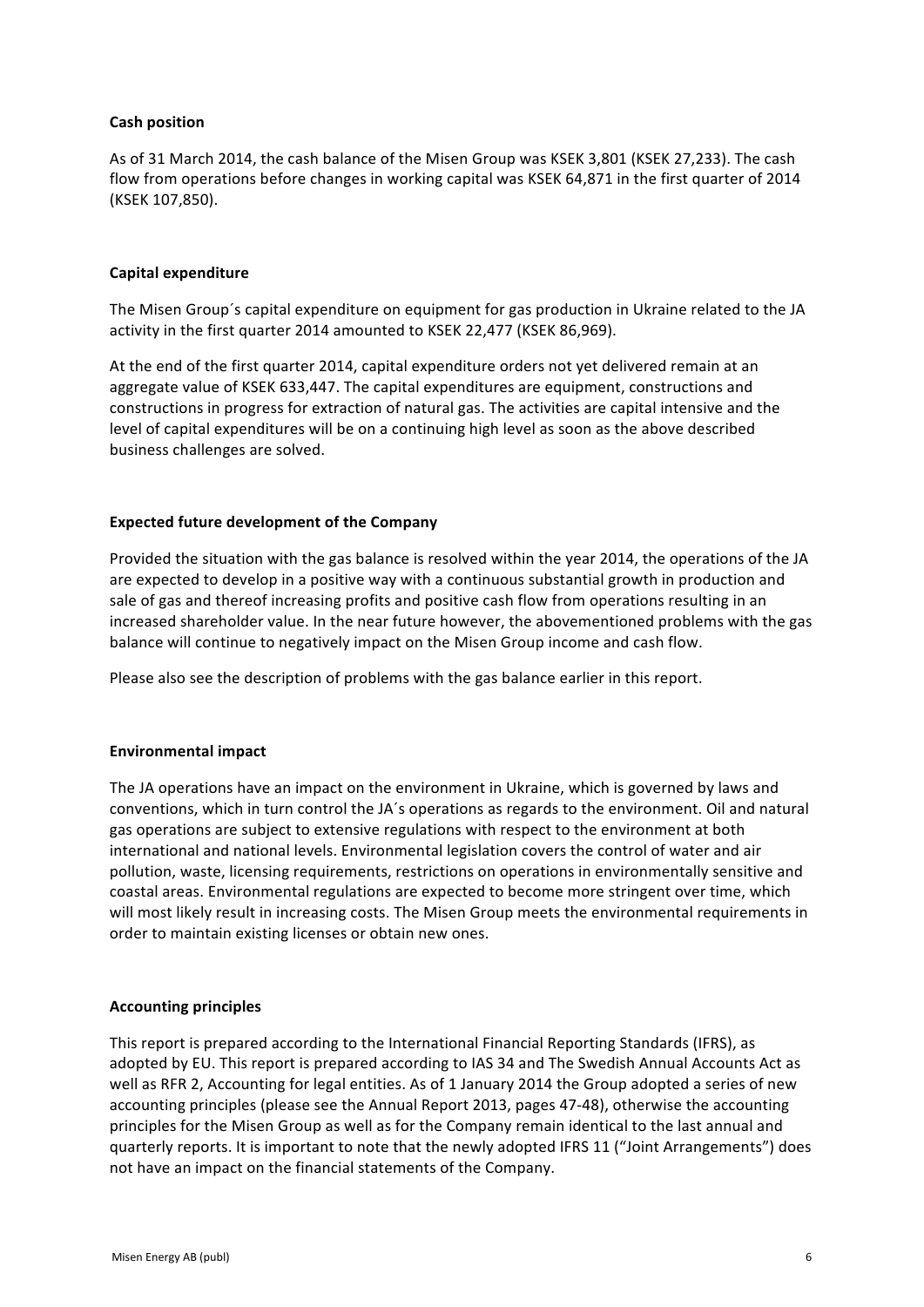# **Cash position**

As of 31 March 2014, the cash balance of the Misen Group was KSEK 3,801 (KSEK 27,233). The cash flow from operations before changes in working capital was KSEK 64,871 in the first quarter of 2014 (KSEK 107,850). 

# **Capital expenditure**

The Misen Group's capital expenditure on equipment for gas production in Ukraine related to the JA activity in the first quarter 2014 amounted to KSEK 22,477 (KSEK 86,969).

At the end of the first quarter 2014, capital expenditure orders not vet delivered remain at an aggregate value of KSEK 633,447. The capital expenditures are equipment, constructions and constructions in progress for extraction of natural gas. The activities are capital intensive and the level of capital expenditures will be on a continuing high level as soon as the above described business challenges are solved.

# **Expected future development of the Company**

Provided the situation with the gas balance is resolved within the year 2014, the operations of the JA are expected to develop in a positive way with a continuous substantial growth in production and sale of gas and thereof increasing profits and positive cash flow from operations resulting in an increased shareholder value. In the near future however, the abovementioned problems with the gas balance will continue to negatively impact on the Misen Group income and cash flow.

Please also see the description of problems with the gas balance earlier in this report.

#### **Environmental impact**

The JA operations have an impact on the environment in Ukraine, which is governed by laws and conventions, which in turn control the JA's operations as regards to the environment. Oil and natural gas operations are subject to extensive regulations with respect to the environment at both international and national levels. Environmental legislation covers the control of water and air pollution, waste, licensing requirements, restrictions on operations in environmentally sensitive and coastal areas. Environmental regulations are expected to become more stringent over time, which will most likely result in increasing costs. The Misen Group meets the environmental requirements in order to maintain existing licenses or obtain new ones.

#### **Accounting principles**

This report is prepared according to the International Financial Reporting Standards (IFRS), as adopted by EU. This report is prepared according to IAS 34 and The Swedish Annual Accounts Act as well as RFR 2. Accounting for legal entities. As of 1 January 2014 the Group adopted a series of new accounting principles (please see the Annual Report 2013, pages 47-48), otherwise the accounting principles for the Misen Group as well as for the Company remain identical to the last annual and quarterly reports. It is important to note that the newly adopted IFRS 11 ("Joint Arrangements") does not have an impact on the financial statements of the Company.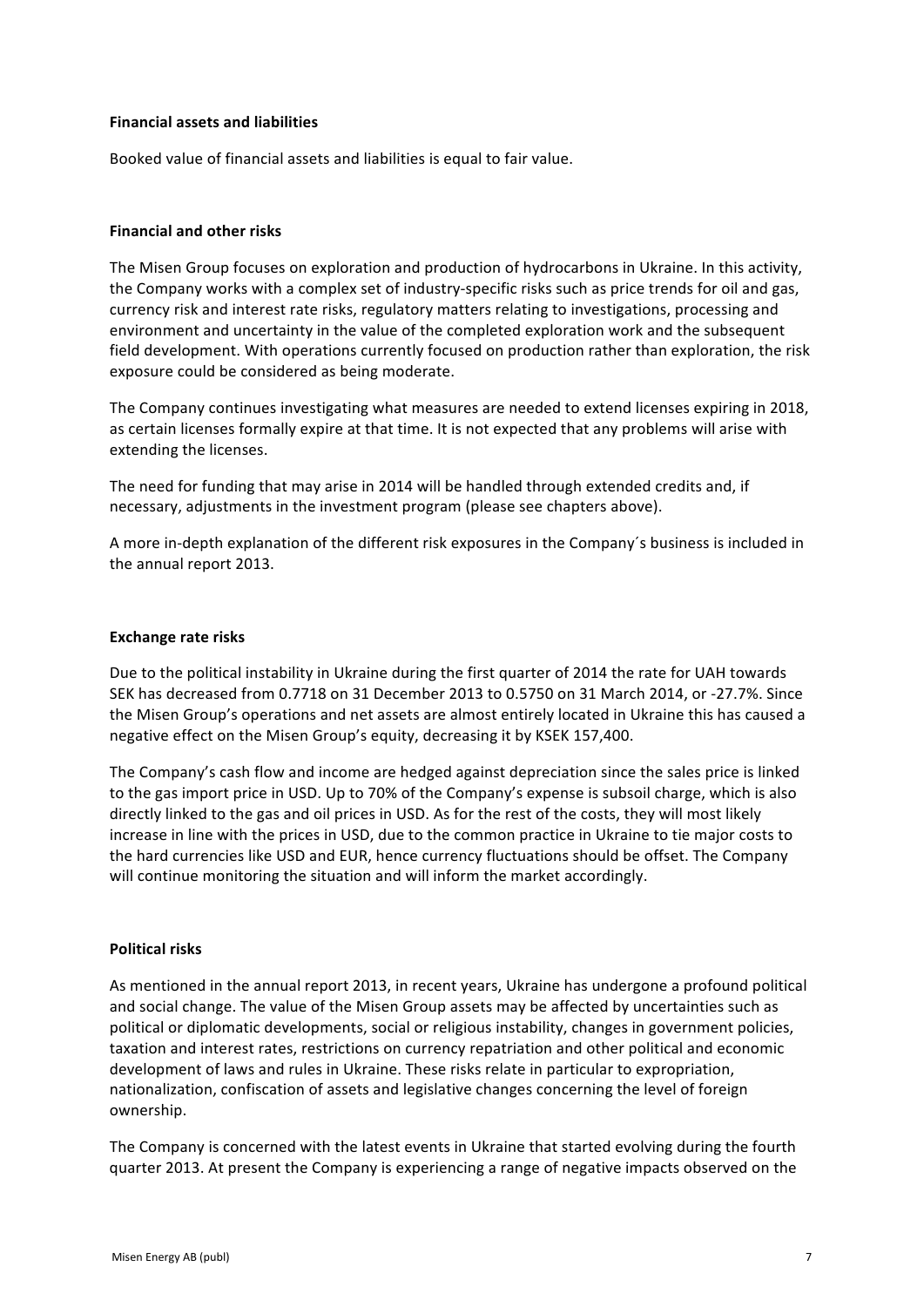# **Financial assets and liabilities**

Booked value of financial assets and liabilities is equal to fair value.

# **Financial and other risks**

The Misen Group focuses on exploration and production of hydrocarbons in Ukraine. In this activity, the Company works with a complex set of industry-specific risks such as price trends for oil and gas, currency risk and interest rate risks, regulatory matters relating to investigations, processing and environment and uncertainty in the value of the completed exploration work and the subsequent field development. With operations currently focused on production rather than exploration, the risk exposure could be considered as being moderate.

The Company continues investigating what measures are needed to extend licenses expiring in 2018, as certain licenses formally expire at that time. It is not expected that any problems will arise with extending the licenses.

The need for funding that may arise in 2014 will be handled through extended credits and, if necessary, adjustments in the investment program (please see chapters above).

A more in-depth explanation of the different risk exposures in the Company's business is included in the annual report 2013.

#### **Exchange rate risks**

Due to the political instability in Ukraine during the first quarter of 2014 the rate for UAH towards SEK has decreased from 0.7718 on 31 December 2013 to 0.5750 on 31 March 2014, or -27.7%. Since the Misen Group's operations and net assets are almost entirely located in Ukraine this has caused a negative effect on the Misen Group's equity, decreasing it by KSEK 157,400.

The Company's cash flow and income are hedged against depreciation since the sales price is linked to the gas import price in USD. Up to 70% of the Company's expense is subsoil charge, which is also directly linked to the gas and oil prices in USD. As for the rest of the costs, they will most likely increase in line with the prices in USD, due to the common practice in Ukraine to tie major costs to the hard currencies like USD and EUR, hence currency fluctuations should be offset. The Company will continue monitoring the situation and will inform the market accordingly.

#### **Political risks**

As mentioned in the annual report 2013, in recent years, Ukraine has undergone a profound political and social change. The value of the Misen Group assets may be affected by uncertainties such as political or diplomatic developments, social or religious instability, changes in government policies, taxation and interest rates, restrictions on currency repatriation and other political and economic development of laws and rules in Ukraine. These risks relate in particular to expropriation, nationalization, confiscation of assets and legislative changes concerning the level of foreign ownership. 

The Company is concerned with the latest events in Ukraine that started evolving during the fourth quarter 2013. At present the Company is experiencing a range of negative impacts observed on the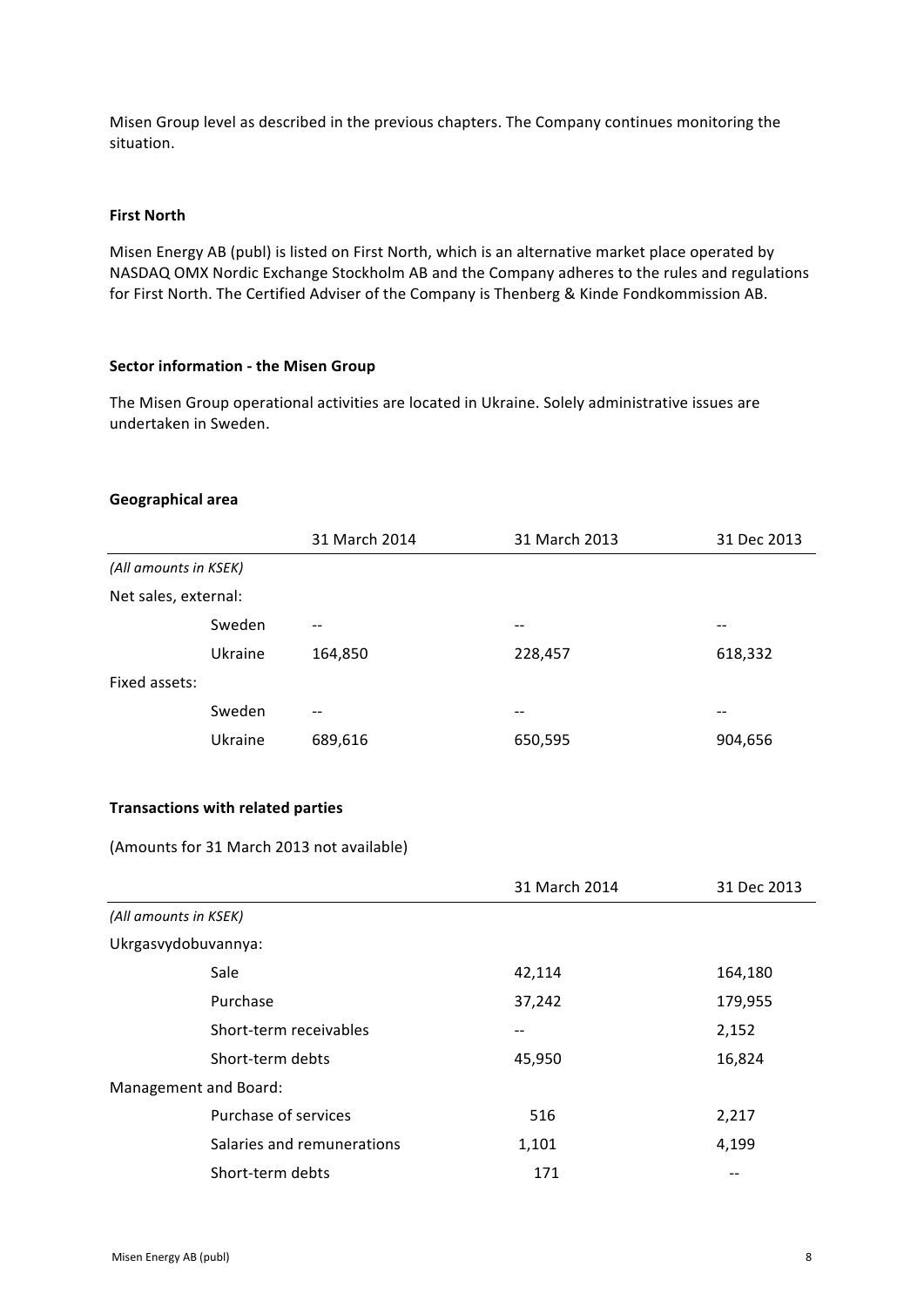Misen Group level as described in the previous chapters. The Company continues monitoring the situation.

# **First North**

Misen Energy AB (publ) is listed on First North, which is an alternative market place operated by NASDAQ OMX Nordic Exchange Stockholm AB and the Company adheres to the rules and regulations for First North. The Certified Adviser of the Company is Thenberg & Kinde Fondkommission AB.

#### **Sector information - the Misen Group**

The Misen Group operational activities are located in Ukraine. Solely administrative issues are undertaken in Sweden.

# **Geographical area**

|                       |         | 31 March 2014 | 31 March 2013 | 31 Dec 2013 |
|-----------------------|---------|---------------|---------------|-------------|
| (All amounts in KSEK) |         |               |               |             |
| Net sales, external:  |         |               |               |             |
|                       | Sweden  | --            | $ -$          |             |
|                       | Ukraine | 164,850       | 228,457       | 618,332     |
| Fixed assets:         |         |               |               |             |
|                       | Sweden  | --            | --            |             |
|                       | Ukraine | 689,616       | 650,595       | 904,656     |

# **Transactions with related parties**

(Amounts for 31 March 2013 not available)

|                       |                            | 31 March 2014 | 31 Dec 2013 |
|-----------------------|----------------------------|---------------|-------------|
| (All amounts in KSEK) |                            |               |             |
|                       | Ukrgasvydobuvannya:        |               |             |
|                       | Sale                       | 42,114        | 164,180     |
|                       | Purchase                   | 37,242        | 179,955     |
|                       | Short-term receivables     | --            | 2,152       |
|                       | Short-term debts           | 45,950        | 16,824      |
|                       | Management and Board:      |               |             |
|                       | Purchase of services       | 516           | 2,217       |
|                       | Salaries and remunerations | 1,101         | 4,199       |
|                       | Short-term debts           | 171           |             |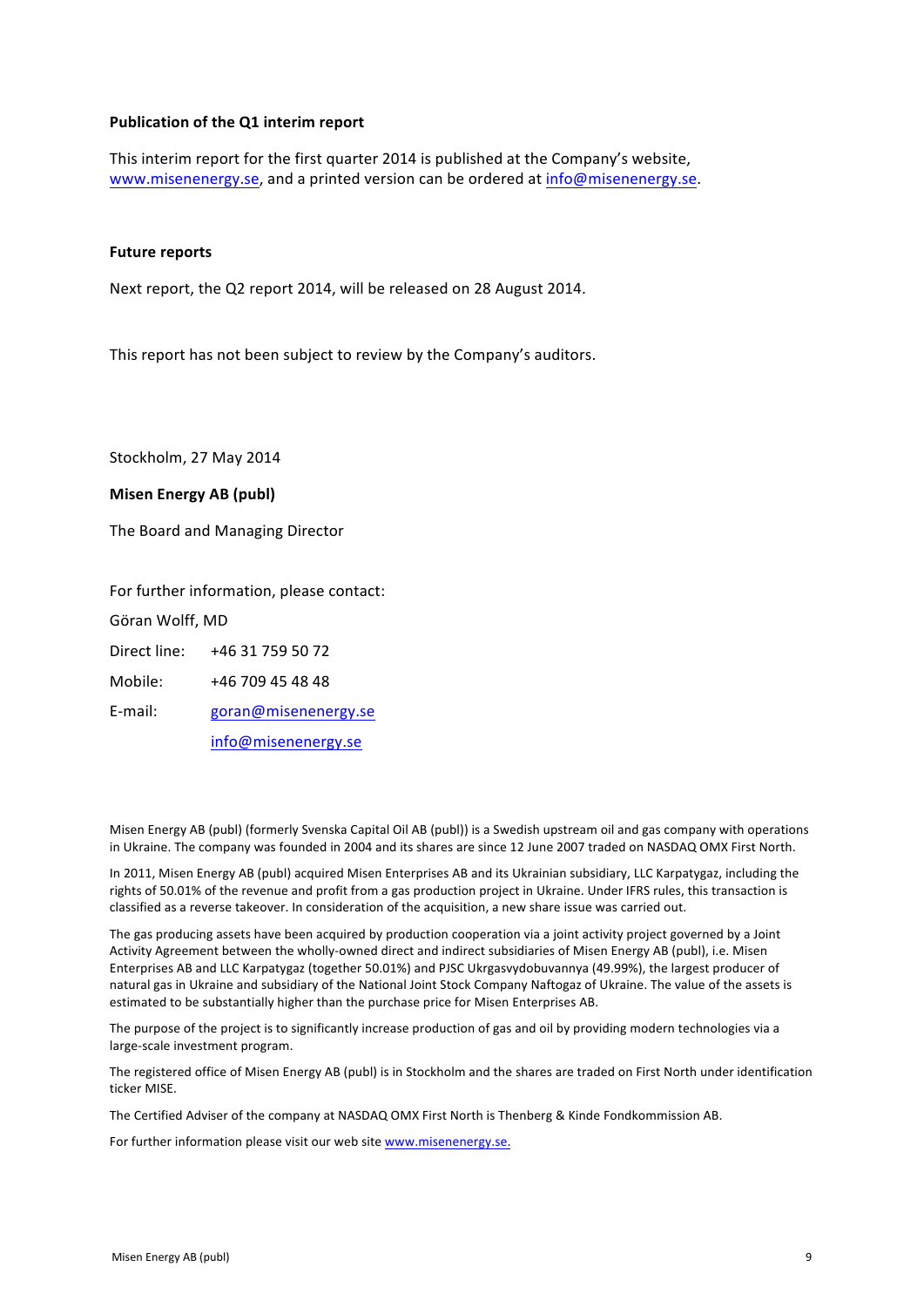### **Publication of the Q1 interim report**

This interim report for the first quarter 2014 is published at the Company's website, www.misenenergy.se, and a printed version can be ordered at info@misenenergy.se.

#### **Future reports**

Next report, the Q2 report 2014, will be released on 28 August 2014.

This report has not been subject to review by the Company's auditors.

Stockholm, 27 May 2014

#### **Misen Energy AB (publ)**

The Board and Managing Director

For further information, please contact:

Göran Wolff, MD

Direct line: +46 31 759 50 72

Mobile: +46 709 45 48 48

E-mail: goran@misenenergy.se

info@misenenergy.se

Misen Energy AB (publ) (formerly Svenska Capital Oil AB (publ)) is a Swedish upstream oil and gas company with operations in Ukraine. The company was founded in 2004 and its shares are since 12 June 2007 traded on NASDAQ OMX First North.

In 2011, Misen Energy AB (publ) acquired Misen Enterprises AB and its Ukrainian subsidiary, LLC Karpatygaz, including the rights of 50.01% of the revenue and profit from a gas production project in Ukraine. Under IFRS rules, this transaction is classified as a reverse takeover. In consideration of the acquisition, a new share issue was carried out.

The gas producing assets have been acquired by production cooperation via a joint activity project governed by a Joint Activity Agreement between the wholly-owned direct and indirect subsidiaries of Misen Energy AB (publ), i.e. Misen Enterprises AB and LLC Karpatygaz (together 50.01%) and PJSC Ukrgasvydobuvannya (49.99%), the largest producer of natural gas in Ukraine and subsidiary of the National Joint Stock Company Naftogaz of Ukraine. The value of the assets is estimated to be substantially higher than the purchase price for Misen Enterprises AB.

The purpose of the project is to significantly increase production of gas and oil by providing modern technologies via a large-scale investment program.

The registered office of Misen Energy AB (publ) is in Stockholm and the shares are traded on First North under identification ticker MISE.

The Certified Adviser of the company at NASDAQ OMX First North is Thenberg & Kinde Fondkommission AB.

For further information please visit our web site www.misenenergy.se.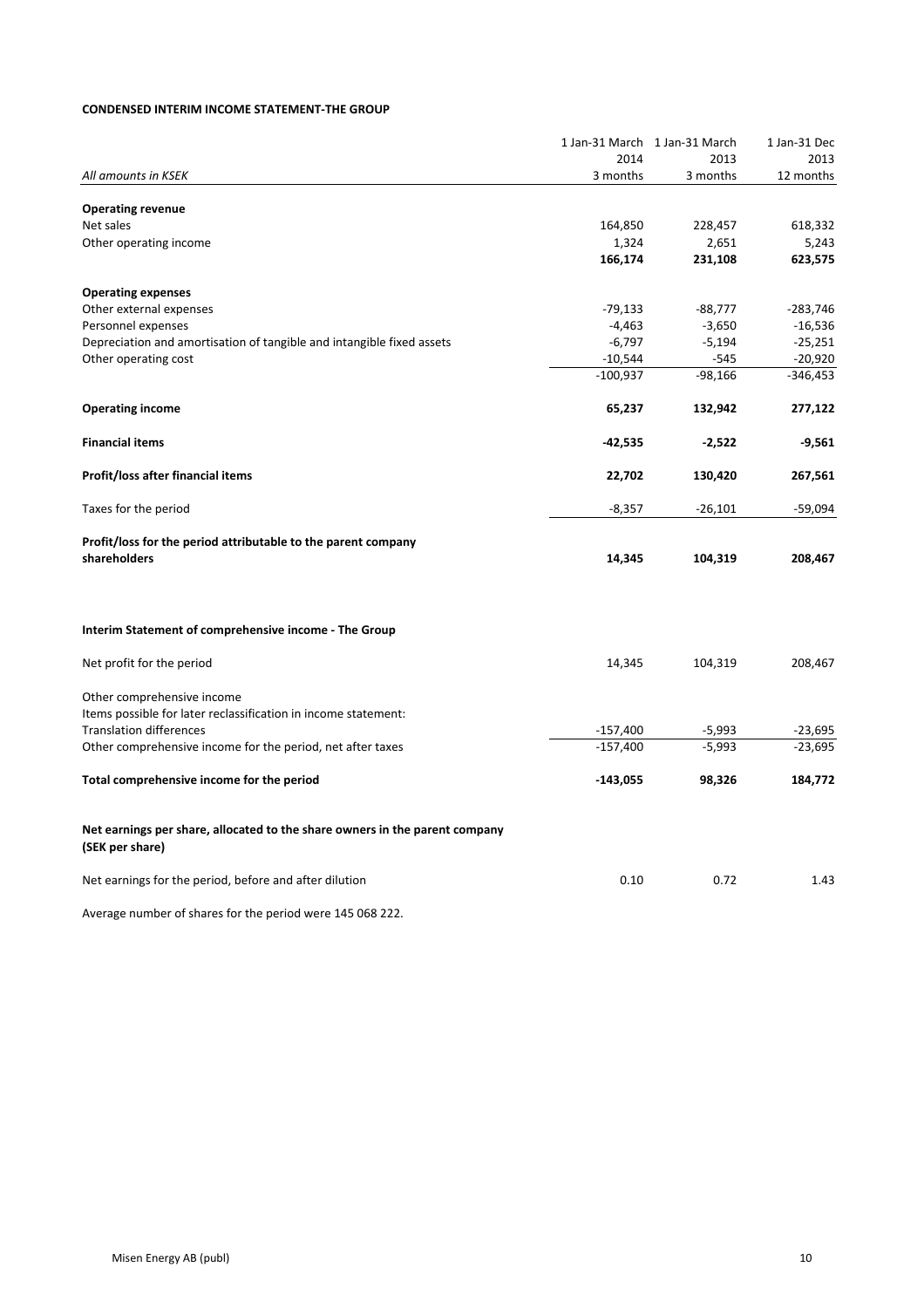#### **CONDENSED INTERIM INCOME STATEMENT-THE GROUP**

|                                                                                                |            | 1 Jan-31 March 1 Jan-31 March | 1 Jan-31 Dec |
|------------------------------------------------------------------------------------------------|------------|-------------------------------|--------------|
|                                                                                                | 2014       | 2013                          | 2013         |
| All amounts in KSEK                                                                            | 3 months   | 3 months                      | 12 months    |
| <b>Operating revenue</b>                                                                       |            |                               |              |
| Net sales                                                                                      | 164,850    | 228,457                       | 618,332      |
| Other operating income                                                                         | 1,324      | 2,651                         | 5,243        |
|                                                                                                | 166,174    | 231,108                       | 623,575      |
| <b>Operating expenses</b>                                                                      |            |                               |              |
| Other external expenses                                                                        | -79,133    | $-88,777$                     | $-283,746$   |
| Personnel expenses                                                                             | $-4,463$   | $-3,650$                      | $-16,536$    |
| Depreciation and amortisation of tangible and intangible fixed assets                          | $-6,797$   | $-5,194$                      | $-25,251$    |
| Other operating cost                                                                           | $-10,544$  | $-545$                        | $-20,920$    |
|                                                                                                | $-100,937$ | $-98,166$                     | -346,453     |
| <b>Operating income</b>                                                                        | 65,237     | 132,942                       | 277,122      |
| <b>Financial items</b>                                                                         | -42,535    | $-2,522$                      | -9,561       |
| Profit/loss after financial items                                                              | 22,702     | 130,420                       | 267,561      |
| Taxes for the period                                                                           | $-8,357$   | -26,101                       | -59,094      |
| Profit/loss for the period attributable to the parent company                                  |            |                               |              |
| shareholders                                                                                   | 14,345     | 104,319                       | 208,467      |
| Interim Statement of comprehensive income - The Group                                          |            |                               |              |
|                                                                                                |            |                               |              |
| Net profit for the period                                                                      | 14,345     | 104,319                       | 208,467      |
| Other comprehensive income                                                                     |            |                               |              |
| Items possible for later reclassification in income statement:                                 |            |                               |              |
| <b>Translation differences</b>                                                                 | $-157,400$ | $-5,993$                      | $-23,695$    |
| Other comprehensive income for the period, net after taxes                                     | $-157,400$ | $-5,993$                      | $-23,695$    |
| Total comprehensive income for the period                                                      | $-143,055$ | 98,326                        | 184,772      |
| Net earnings per share, allocated to the share owners in the parent company<br>(SEK per share) |            |                               |              |
| Net earnings for the period, before and after dilution                                         | 0.10       | 0.72                          | 1.43         |
| Average number of shares for the period were 145 068 222.                                      |            |                               |              |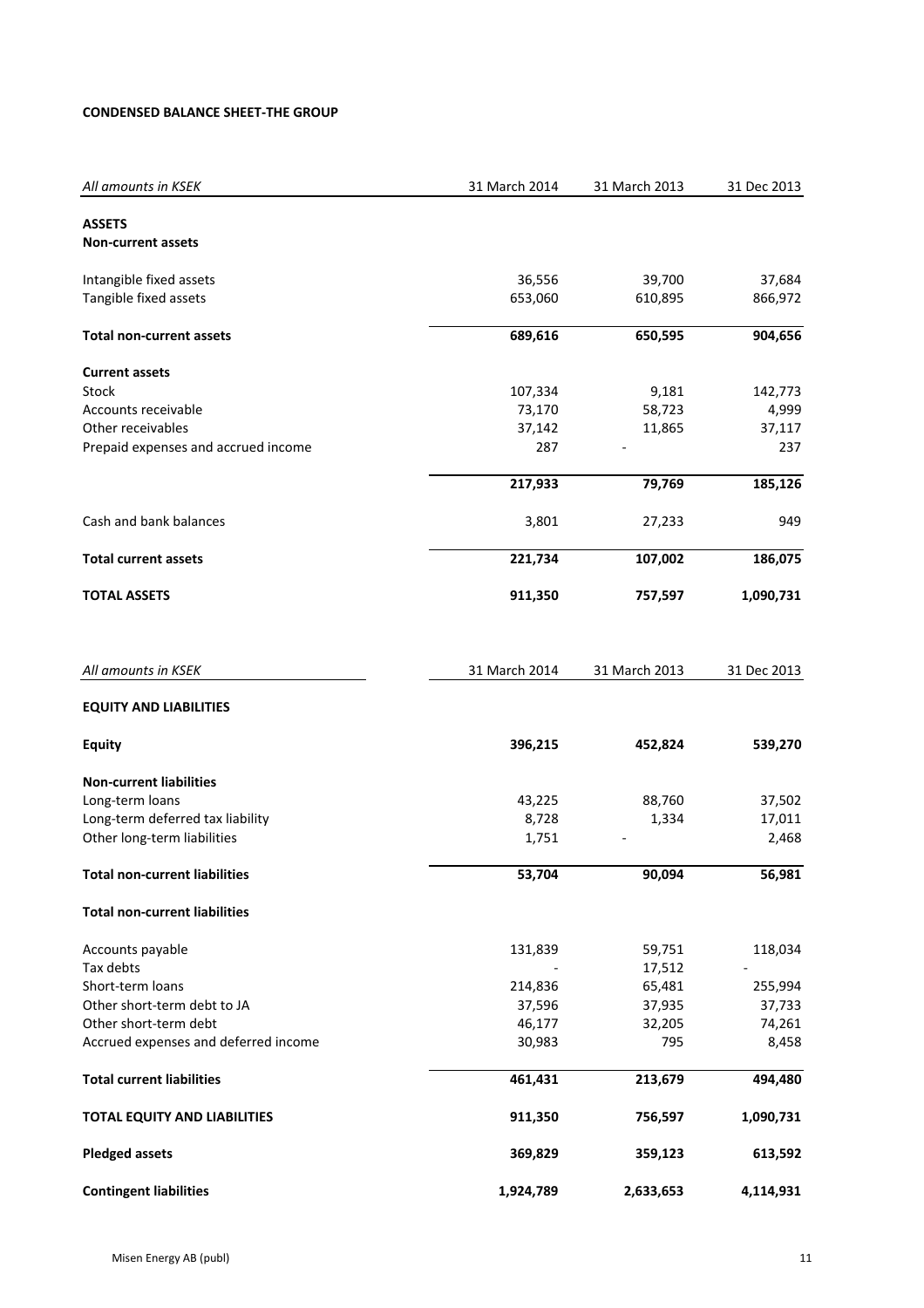# **CONDENSED BALANCE SHEET-THE GROUP**

| All amounts in KSEK                  | 31 March 2014 | 31 March 2013 | 31 Dec 2013 |
|--------------------------------------|---------------|---------------|-------------|
| <b>ASSETS</b>                        |               |               |             |
| <b>Non-current assets</b>            |               |               |             |
| Intangible fixed assets              | 36,556        | 39,700        | 37,684      |
| Tangible fixed assets                | 653,060       | 610,895       | 866,972     |
| <b>Total non-current assets</b>      | 689,616       | 650,595       | 904,656     |
| <b>Current assets</b>                |               |               |             |
| Stock                                | 107,334       | 9,181         | 142,773     |
| Accounts receivable                  | 73,170        | 58,723        | 4,999       |
| Other receivables                    | 37,142        | 11,865        | 37,117      |
| Prepaid expenses and accrued income  | 287           |               | 237         |
|                                      | 217,933       | 79,769        | 185,126     |
| Cash and bank balances               | 3,801         | 27,233        | 949         |
| <b>Total current assets</b>          | 221,734       | 107,002       | 186,075     |
| <b>TOTAL ASSETS</b>                  | 911,350       | 757,597       | 1,090,731   |
| All amounts in KSEK                  | 31 March 2014 | 31 March 2013 | 31 Dec 2013 |
| <b>EQUITY AND LIABILITIES</b>        |               |               |             |
| <b>Equity</b>                        | 396,215       | 452,824       | 539,270     |
| <b>Non-current liabilities</b>       |               |               |             |
| Long-term loans                      | 43,225        | 88,760        | 37,502      |
| Long-term deferred tax liability     | 8,728         | 1,334         | 17,011      |
| Other long-term liabilities          | 1,751         |               | 2,468       |
| <b>Total non-current liabilities</b> | 53,704        | 90,094        | 56,981      |
| <b>Total non-current liabilities</b> |               |               |             |
| Accounts payable                     | 131,839       | 59,751        | 118,034     |
| Tax debts                            |               | 17,512        |             |
| Short-term loans                     | 214,836       | 65,481        | 255,994     |
| Other short-term debt to JA          | 37,596        | 37,935        | 37,733      |
| Other short-term debt                | 46,177        | 32,205        | 74,261      |
| Accrued expenses and deferred income | 30,983        | 795           | 8,458       |
| <b>Total current liabilities</b>     | 461,431       | 213,679       | 494,480     |
| TOTAL EQUITY AND LIABILITIES         | 911,350       | 756,597       | 1,090,731   |
| <b>Pledged assets</b>                | 369,829       | 359,123       | 613,592     |
| <b>Contingent liabilities</b>        | 1,924,789     | 2,633,653     | 4,114,931   |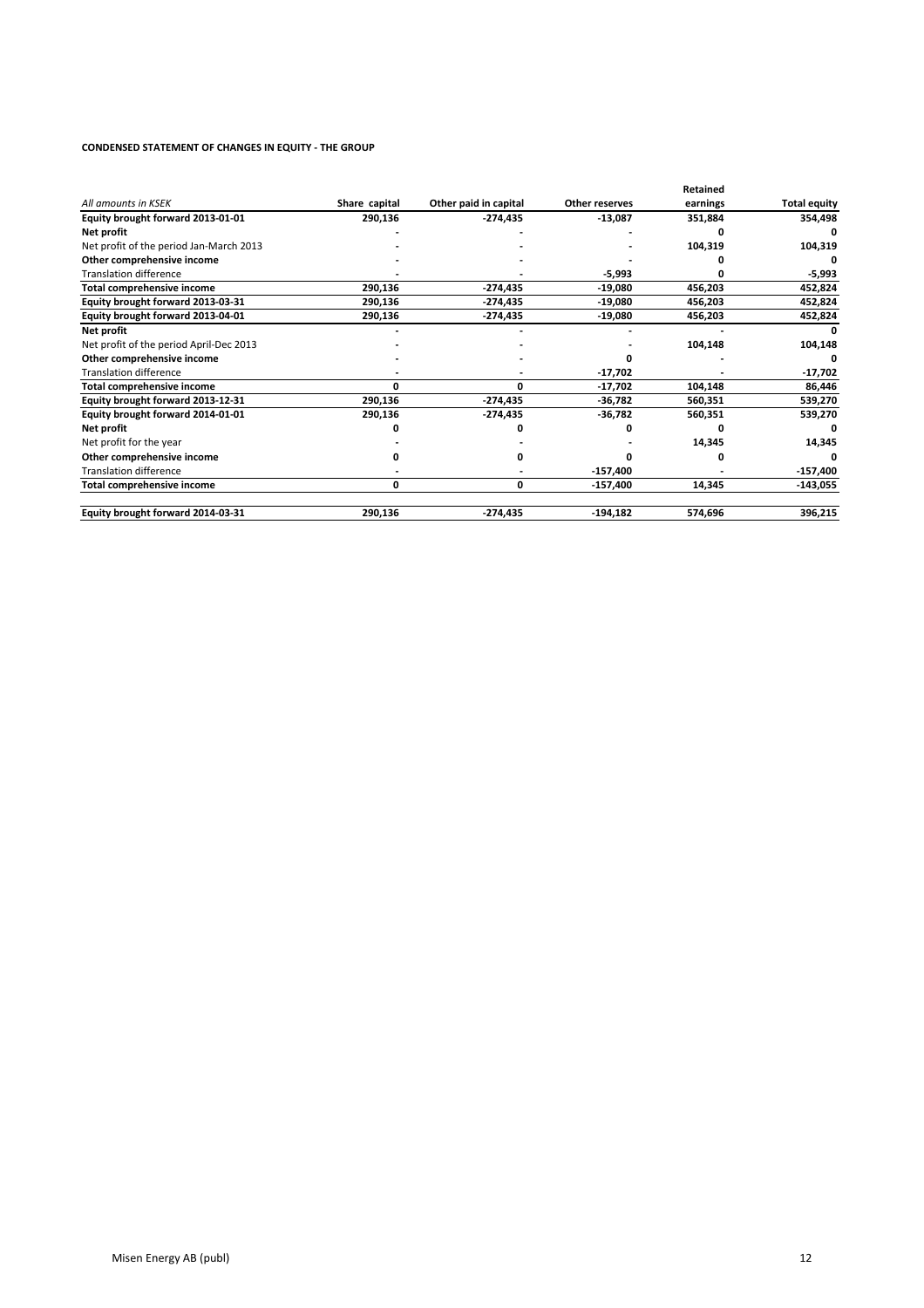#### **CONDENSED STATEMENT OF CHANGES IN EQUITY - THE GROUP**

|                                         |               |                       |                | Retained |                     |
|-----------------------------------------|---------------|-----------------------|----------------|----------|---------------------|
| All amounts in KSEK                     | Share capital | Other paid in capital | Other reserves | earnings | <b>Total equity</b> |
| Equity brought forward 2013-01-01       | 290,136       | -274,435              | $-13,087$      | 351,884  | 354,498             |
| Net profit                              |               |                       |                |          |                     |
| Net profit of the period Jan-March 2013 |               |                       |                | 104,319  | 104,319             |
| Other comprehensive income              |               |                       |                |          |                     |
| <b>Translation difference</b>           |               |                       | -5,993         |          | -5,993              |
| Total comprehensive income              | 290,136       | $-274,435$            | -19,080        | 456,203  | 452,824             |
| Equity brought forward 2013-03-31       | 290,136       | $-274,435$            | -19,080        | 456,203  | 452,824             |
| Equity brought forward 2013-04-01       | 290,136       | $-274,435$            | $-19,080$      | 456,203  | 452,824             |
| Net profit                              |               |                       |                |          |                     |
| Net profit of the period April-Dec 2013 |               |                       |                | 104,148  | 104,148             |
| Other comprehensive income              |               |                       |                |          |                     |
| <b>Translation difference</b>           |               |                       | -17,702        |          | -17,702             |
| Total comprehensive income              | o             | O                     | -17,702        | 104,148  | 86,446              |
| Equity brought forward 2013-12-31       | 290,136       | $-274,435$            | -36,782        | 560,351  | 539,270             |
| Equity brought forward 2014-01-01       | 290,136       | $-274,435$            | -36,782        | 560,351  | 539,270             |
| Net profit                              |               |                       |                |          |                     |
| Net profit for the year                 |               |                       |                | 14,345   | 14,345              |
| Other comprehensive income              |               |                       |                |          |                     |
| <b>Translation difference</b>           |               |                       | $-157,400$     |          | $-157,400$          |
| Total comprehensive income              | 0             | 0                     | -157,400       | 14,345   | $-143,055$          |
| Equity brought forward 2014-03-31       | 290,136       | $-274,435$            | $-194,182$     | 574,696  | 396,215             |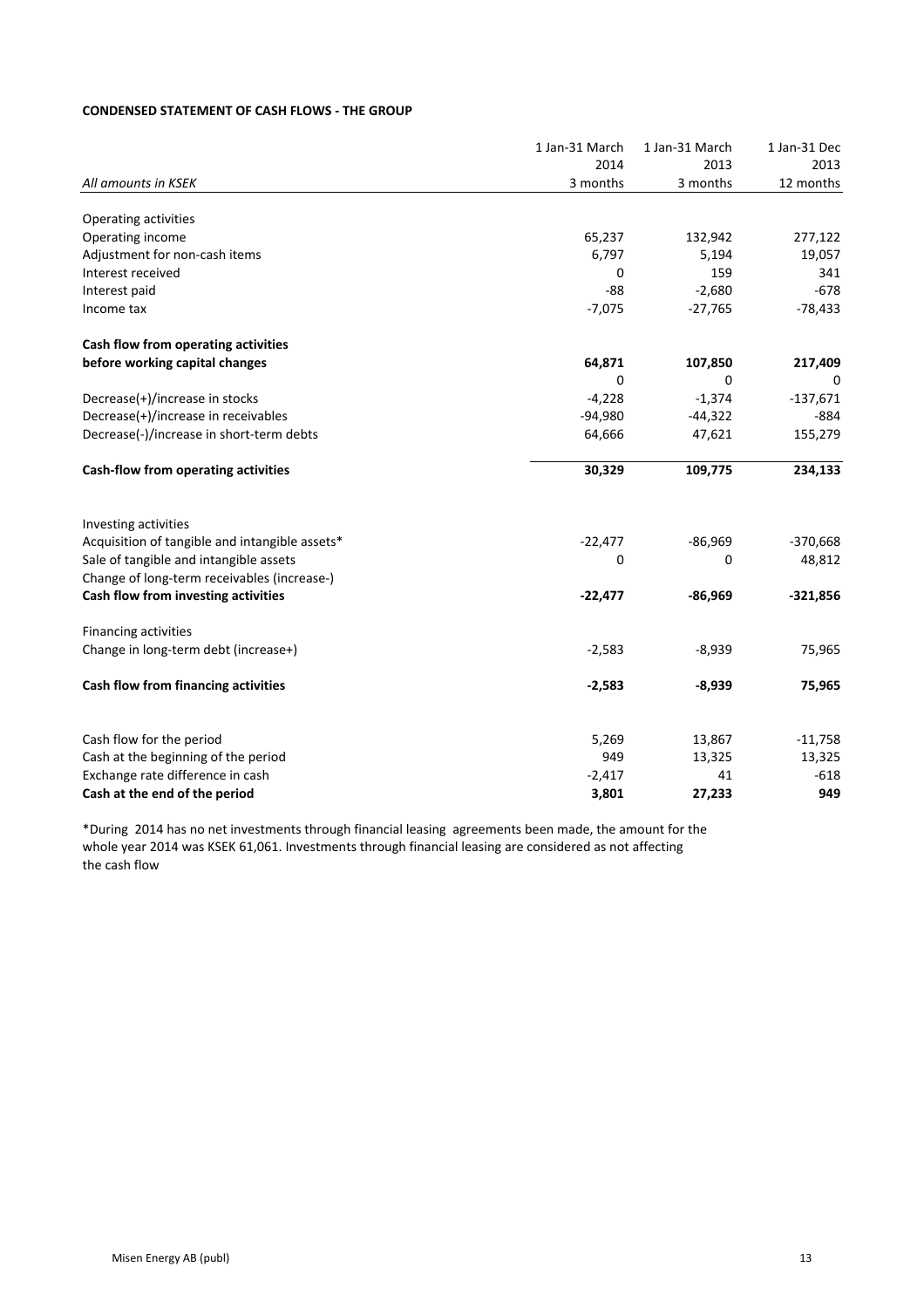# **CONDENSED STATEMENT OF CASH FLOWS - THE GROUP**

|                                                                        | 1 Jan-31 March | 1 Jan-31 March | 1 Jan-31 Dec |
|------------------------------------------------------------------------|----------------|----------------|--------------|
|                                                                        | 2014           | 2013           | 2013         |
| All amounts in KSEK                                                    | 3 months       | 3 months       | 12 months    |
| Operating activities                                                   |                |                |              |
| Operating income                                                       | 65,237         | 132,942        | 277,122      |
| Adjustment for non-cash items                                          | 6,797          | 5,194          | 19,057       |
| Interest received                                                      | 0              | 159            | 341          |
| Interest paid                                                          | $-88$          | $-2,680$       | $-678$       |
| Income tax                                                             | $-7,075$       | $-27,765$      | $-78,433$    |
| Cash flow from operating activities                                    |                |                |              |
| before working capital changes                                         | 64,871         | 107,850        | 217,409      |
|                                                                        | 0              | 0              |              |
| Decrease(+)/increase in stocks                                         | $-4,228$       | $-1,374$       | $-137,671$   |
| Decrease(+)/increase in receivables                                    | $-94,980$      | $-44,322$      | $-884$       |
| Decrease(-)/increase in short-term debts                               | 64,666         | 47,621         | 155,279      |
| Cash-flow from operating activities                                    | 30,329         | 109,775        | 234,133      |
|                                                                        |                |                |              |
| Investing activities<br>Acquisition of tangible and intangible assets* | $-22,477$      | $-86,969$      | $-370,668$   |
| Sale of tangible and intangible assets                                 | 0              | 0              | 48,812       |
| Change of long-term receivables (increase-)                            |                |                |              |
| Cash flow from investing activities                                    | $-22,477$      | $-86,969$      | $-321,856$   |
| Financing activities                                                   |                |                |              |
| Change in long-term debt (increase+)                                   | $-2,583$       | $-8,939$       | 75,965       |
| Cash flow from financing activities                                    | $-2,583$       | $-8,939$       | 75,965       |
|                                                                        |                |                |              |
| Cash flow for the period                                               | 5,269          | 13,867         | $-11,758$    |
| Cash at the beginning of the period                                    | 949            | 13,325         | 13,325       |
| Exchange rate difference in cash                                       | $-2,417$       | 41             | $-618$       |
| Cash at the end of the period                                          | 3,801          | 27,233         | 949          |

\*During 2014 has no net investments through financial leasing agreements been made, the amount for the whole year 2014 was KSEK 61,061. Investments through financial leasing are considered as not affecting the cash flow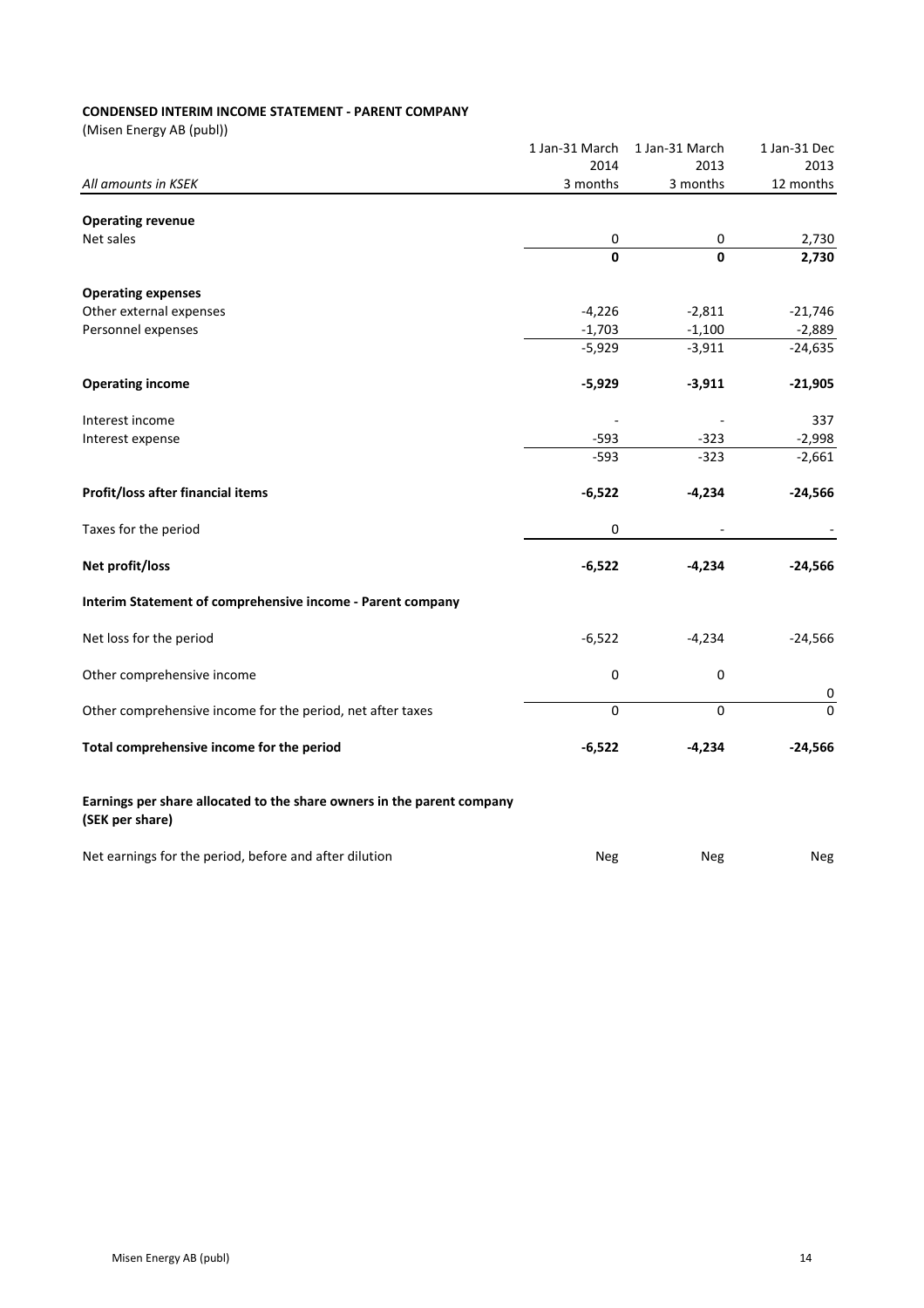# **CONDENSED INTERIM INCOME STATEMENT - PARENT COMPANY**

|                                                                                           | 1 Jan-31 March | 1 Jan-31 March | 1 Jan-31 Dec             |
|-------------------------------------------------------------------------------------------|----------------|----------------|--------------------------|
|                                                                                           | 2014           | 2013           | 2013                     |
| All amounts in KSEK                                                                       | 3 months       | 3 months       | 12 months                |
| <b>Operating revenue</b>                                                                  |                |                |                          |
| Net sales                                                                                 | 0              | 0              | 2,730                    |
|                                                                                           | $\mathbf{0}$   | O              | 2,730                    |
| <b>Operating expenses</b>                                                                 |                |                |                          |
| Other external expenses                                                                   | $-4,226$       | $-2,811$       | $-21,746$                |
| Personnel expenses                                                                        | $-1,703$       | $-1,100$       | $-2,889$                 |
|                                                                                           | $-5,929$       | $-3,911$       | $-24,635$                |
| <b>Operating income</b>                                                                   | $-5,929$       | $-3,911$       | $-21,905$                |
| Interest income                                                                           |                |                | 337                      |
| Interest expense                                                                          | $-593$         | $-323$         | $-2,998$                 |
|                                                                                           | $-593$         | $-323$         | $-2,661$                 |
| Profit/loss after financial items                                                         | $-6,522$       | $-4,234$       | $-24,566$                |
| Taxes for the period                                                                      | 0              |                |                          |
| Net profit/loss                                                                           | $-6,522$       | $-4,234$       | $-24,566$                |
| Interim Statement of comprehensive income - Parent company                                |                |                |                          |
| Net loss for the period                                                                   | $-6,522$       | $-4,234$       | $-24,566$                |
| Other comprehensive income                                                                | $\pmb{0}$      | 0              |                          |
| Other comprehensive income for the period, net after taxes                                | $\mathbf 0$    | 0              | $\pmb{0}$<br>$\mathbf 0$ |
| Total comprehensive income for the period                                                 | $-6,522$       | $-4,234$       | $-24,566$                |
| Earnings per share allocated to the share owners in the parent company<br>(SEK per share) |                |                |                          |
| Net earnings for the period, before and after dilution                                    | Neg            | Neg            | Neg                      |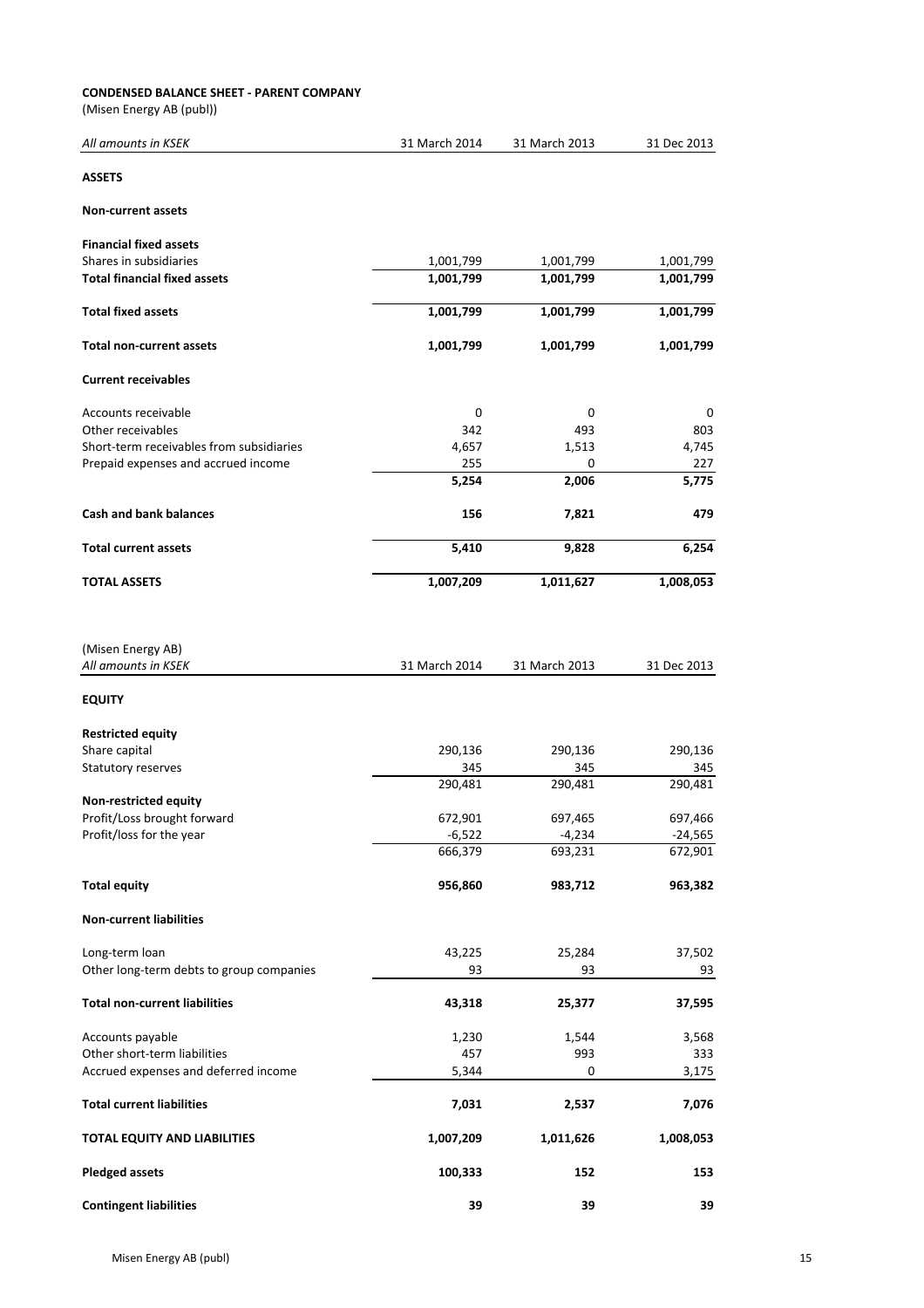#### **CONDENSED BALANCE SHEET - PARENT COMPANY**

| All amounts in KSEK                      | 31 March 2014 | 31 March 2013 | 31 Dec 2013 |
|------------------------------------------|---------------|---------------|-------------|
| <b>ASSETS</b>                            |               |               |             |
| <b>Non-current assets</b>                |               |               |             |
| <b>Financial fixed assets</b>            |               |               |             |
| Shares in subsidiaries                   | 1,001,799     | 1,001,799     | 1,001,799   |
| <b>Total financial fixed assets</b>      | 1,001,799     | 1,001,799     | 1,001,799   |
| <b>Total fixed assets</b>                | 1,001,799     | 1,001,799     | 1,001,799   |
| <b>Total non-current assets</b>          | 1,001,799     | 1,001,799     | 1,001,799   |
| <b>Current receivables</b>               |               |               |             |
| Accounts receivable                      | 0             | 0             | 0           |
| Other receivables                        | 342           | 493           | 803         |
| Short-term receivables from subsidiaries | 4,657         | 1,513         | 4,745       |
| Prepaid expenses and accrued income      | 255           | 0             | 227         |
|                                          | 5,254         | 2,006         | 5,775       |
| <b>Cash and bank balances</b>            | 156           | 7,821         | 479         |
| <b>Total current assets</b>              | 5,410         | 9,828         | 6,254       |
| <b>TOTAL ASSETS</b>                      | 1,007,209     | 1,011,627     | 1,008,053   |
| (Misen Energy AB)<br>All amounts in KSEK | 31 March 2014 | 31 March 2013 | 31 Dec 2013 |
| <b>EQUITY</b>                            |               |               |             |
| <b>Restricted equity</b>                 |               |               |             |
| Share capital                            | 290,136       | 290,136       | 290,136     |
| Statutory reserves                       | 345           | 345           | 345         |
|                                          | 290,481       | 290,481       | 290,481     |
| Non-restricted equity                    |               |               |             |
| Profit/Loss brought forward              | 672,901       | 697,465       | 697,466     |
| Profit/loss for the year                 | $-6,522$      | $-4,234$      | $-24,565$   |
|                                          | 666,379       | 693,231       | 672,901     |
| <b>Total equity</b>                      | 956,860       | 983,712       | 963,382     |
| <b>Non-current liabilities</b>           |               |               |             |
|                                          |               | 25,284        |             |
| Long-term loan                           | 43,225        |               | 37,502      |
| Other long-term debts to group companies | 93            | 93            | 93          |
| <b>Total non-current liabilities</b>     | 43,318        | 25,377        | 37,595      |
| Accounts payable                         | 1,230         | 1,544         | 3,568       |
| Other short-term liabilities             | 457           | 993           | 333         |
| Accrued expenses and deferred income     | 5,344         | 0             | 3,175       |
| <b>Total current liabilities</b>         | 7,031         | 2,537         | 7,076       |
| TOTAL EQUITY AND LIABILITIES             | 1,007,209     | 1,011,626     | 1,008,053   |
| <b>Pledged assets</b>                    | 100,333       | 152           | 153         |
| <b>Contingent liabilities</b>            | 39            | 39            | 39          |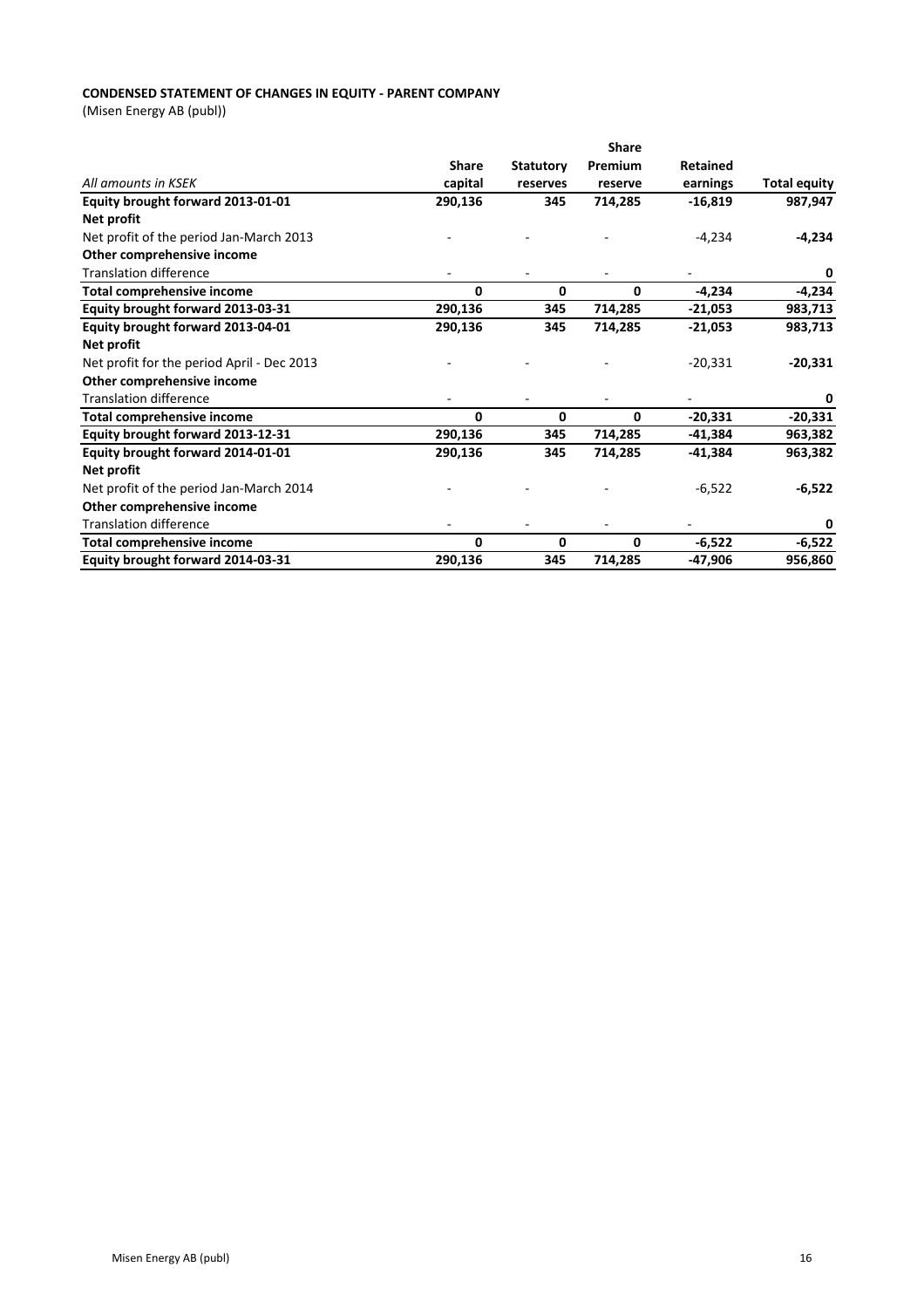# **CONDENSED STATEMENT OF CHANGES IN EQUITY - PARENT COMPANY**

|                                            |              |                  | <b>Share</b> |           |                     |
|--------------------------------------------|--------------|------------------|--------------|-----------|---------------------|
|                                            | <b>Share</b> | <b>Statutory</b> | Premium      | Retained  |                     |
| All amounts in KSEK                        | capital      | reserves         | reserve      | earnings  | <b>Total equity</b> |
| Equity brought forward 2013-01-01          | 290,136      | 345              | 714,285      | $-16,819$ | 987,947             |
| Net profit                                 |              |                  |              |           |                     |
| Net profit of the period Jan-March 2013    |              |                  |              | $-4,234$  | $-4,234$            |
| Other comprehensive income                 |              |                  |              |           |                     |
| <b>Translation difference</b>              |              |                  |              |           | 0                   |
| <b>Total comprehensive income</b>          | 0            | 0                | 0            | $-4,234$  | $-4,234$            |
| Equity brought forward 2013-03-31          | 290,136      | 345              | 714,285      | $-21,053$ | 983,713             |
| Equity brought forward 2013-04-01          | 290,136      | 345              | 714,285      | $-21,053$ | 983,713             |
| Net profit                                 |              |                  |              |           |                     |
| Net profit for the period April - Dec 2013 |              |                  |              | $-20,331$ | $-20,331$           |
| Other comprehensive income                 |              |                  |              |           |                     |
| <b>Translation difference</b>              |              |                  |              |           | 0                   |
| Total comprehensive income                 | 0            | 0                | 0            | $-20,331$ | $-20,331$           |
| Equity brought forward 2013-12-31          | 290,136      | 345              | 714,285      | $-41,384$ | 963,382             |
| Equity brought forward 2014-01-01          | 290,136      | 345              | 714,285      | $-41,384$ | 963,382             |
| Net profit                                 |              |                  |              |           |                     |
| Net profit of the period Jan-March 2014    |              |                  |              | $-6,522$  | $-6,522$            |
| Other comprehensive income                 |              |                  |              |           |                     |
| <b>Translation difference</b>              |              |                  |              |           | 0                   |
| <b>Total comprehensive income</b>          | 0            | 0                | 0            | $-6,522$  | $-6,522$            |
| Equity brought forward 2014-03-31          | 290,136      | 345              | 714,285      | -47,906   | 956,860             |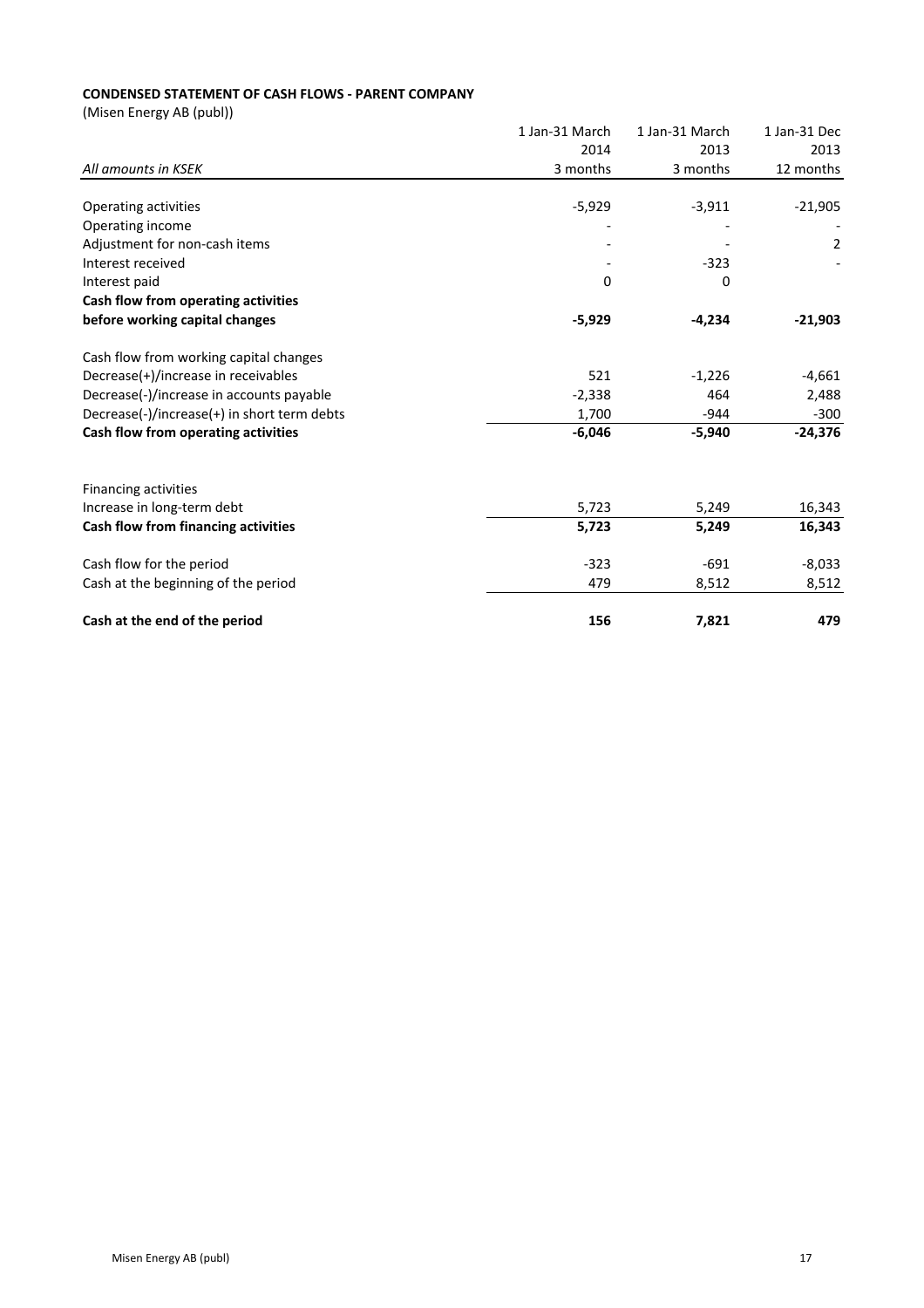# **CONDENSED STATEMENT OF CASH FLOWS - PARENT COMPANY**

|                                             | 1 Jan-31 March | 1 Jan-31 March | 1 Jan-31 Dec   |
|---------------------------------------------|----------------|----------------|----------------|
|                                             | 2014           | 2013           | 2013           |
| All amounts in KSEK                         | 3 months       | 3 months       | 12 months      |
| Operating activities                        | $-5,929$       | $-3,911$       | $-21,905$      |
| Operating income                            |                |                |                |
| Adjustment for non-cash items               |                |                | $\overline{2}$ |
| Interest received                           |                | $-323$         |                |
| Interest paid                               | 0              | 0              |                |
| Cash flow from operating activities         |                |                |                |
| before working capital changes              | $-5,929$       | $-4,234$       | $-21,903$      |
| Cash flow from working capital changes      |                |                |                |
| Decrease(+)/increase in receivables         | 521            | $-1,226$       | $-4,661$       |
| Decrease(-)/increase in accounts payable    | $-2,338$       | 464            | 2,488          |
| Decrease(-)/increase(+) in short term debts | 1,700          | $-944$         | $-300$         |
| Cash flow from operating activities         | $-6,046$       | $-5,940$       | $-24,376$      |
| <b>Financing activities</b>                 |                |                |                |
| Increase in long-term debt                  | 5,723          | 5,249          | 16,343         |
| Cash flow from financing activities         | 5,723          | 5,249          | 16,343         |
| Cash flow for the period                    | $-323$         | $-691$         | $-8,033$       |
| Cash at the beginning of the period         | 479            | 8,512          | 8,512          |
| Cash at the end of the period               | 156            | 7,821          | 479            |